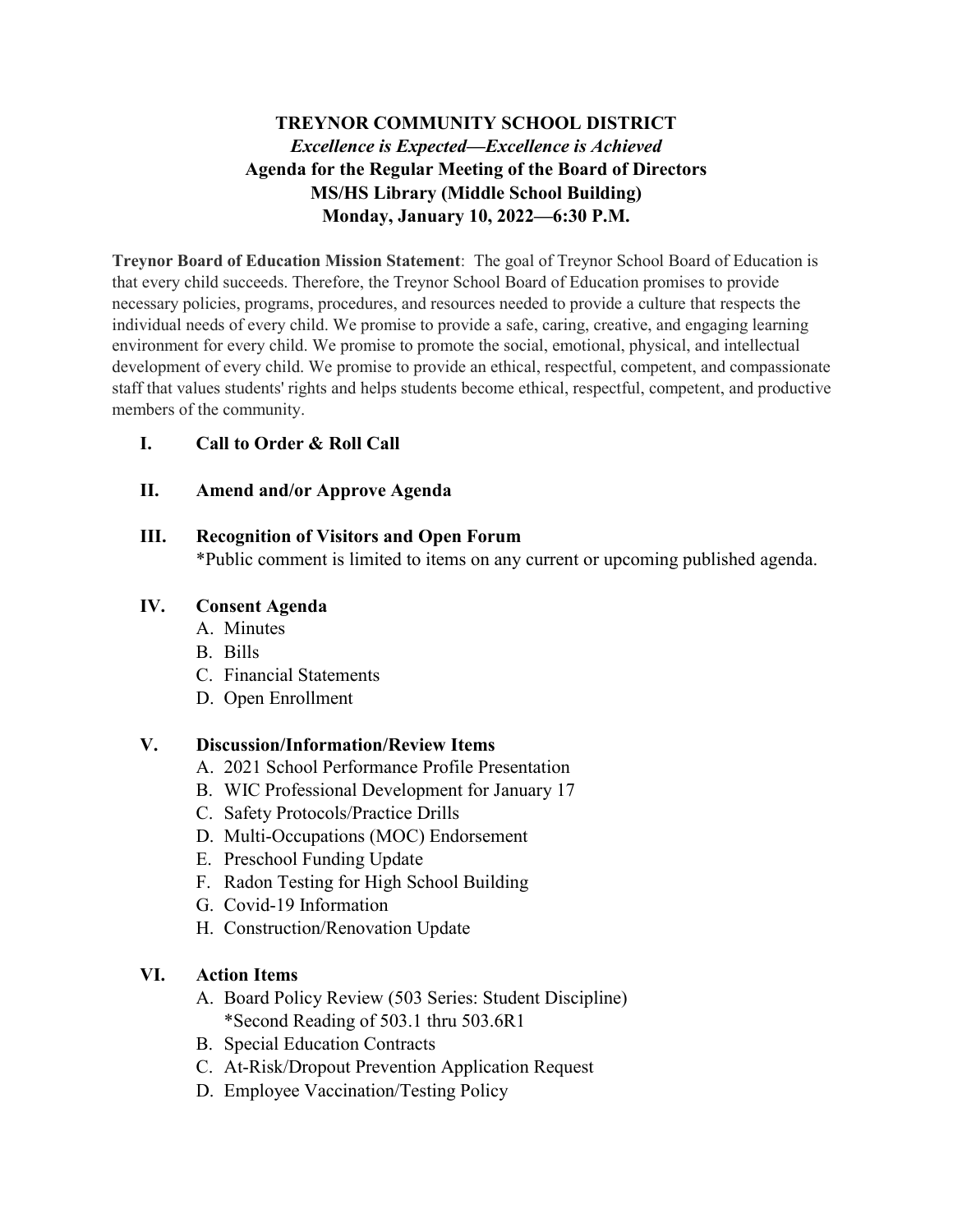### **TREYNOR COMMUNITY SCHOOL DISTRICT** *Excellence is Expected—Excellence is Achieved* **Agenda for the Regular Meeting of the Board of Directors MS/HS Library (Middle School Building) Monday, January 10, 2022—6:30 P.M.**

**Treynor Board of Education Mission Statement**: The goal of Treynor School Board of Education is that every child succeeds. Therefore, the Treynor School Board of Education promises to provide necessary policies, programs, procedures, and resources needed to provide a culture that respects the individual needs of every child. We promise to provide a safe, caring, creative, and engaging learning environment for every child. We promise to promote the social, emotional, physical, and intellectual development of every child. We promise to provide an ethical, respectful, competent, and compassionate staff that values students' rights and helps students become ethical, respectful, competent, and productive members of the community.

#### **I. Call to Order & Roll Call**

#### **II. Amend and/or Approve Agenda**

#### **III. Recognition of Visitors and Open Forum**

\*Public comment is limited to items on any current or upcoming published agenda.

#### **IV. Consent Agenda**

- A. Minutes
- B. Bills
- C. Financial Statements
- D. Open Enrollment

#### **V. Discussion/Information/Review Items**

- A. 2021 School Performance Profile Presentation
- B. WIC Professional Development for January 17
- C. Safety Protocols/Practice Drills
- D. Multi-Occupations (MOC) Endorsement
- E. Preschool Funding Update
- F. Radon Testing for High School Building
- G. Covid-19 Information
- H. Construction/Renovation Update

#### **VI. Action Items**

- A. Board Policy Review (503 Series: Student Discipline) \*Second Reading of 503.1 thru 503.6R1
- B. Special Education Contracts
- C. At-Risk/Dropout Prevention Application Request
- D. Employee Vaccination/Testing Policy